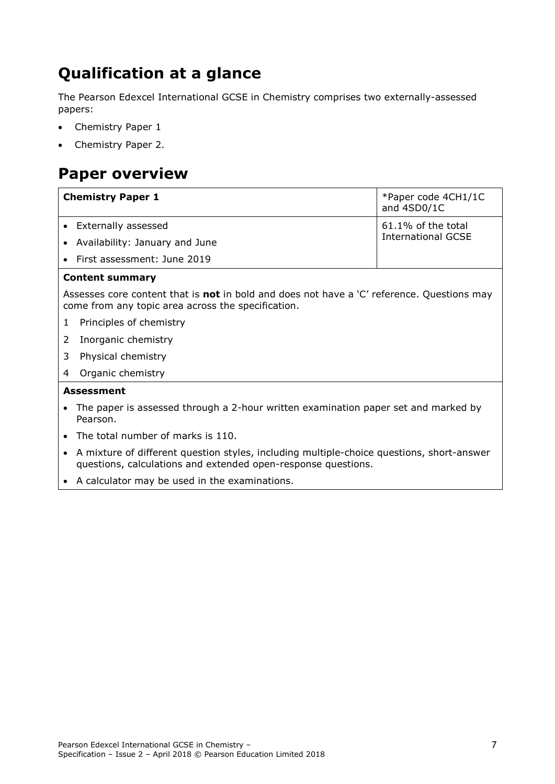## **Qualification at a glance**

The Pearson Edexcel International GCSE in Chemistry comprises two externally-assessed papers:

- Chemistry Paper 1
- Chemistry Paper 2.

## **Paper overview**

| <b>Chemistry Paper 1</b>       | *Paper code 4CH1/1C<br>and 4SD0/1C              |  |
|--------------------------------|-------------------------------------------------|--|
| • Externally assessed          | 61.1% of the total<br><b>International GCSE</b> |  |
| Availability: January and June |                                                 |  |
| • First assessment: June 2019  |                                                 |  |
| <b>Content summary</b>         |                                                 |  |

Assesses core content that is **not** in bold and does not have a 'C' reference. Questions may come from any topic area across the specification.

- 1 Principles of chemistry
- 2 Inorganic chemistry
- 3 Physical chemistry
- 4 Organic chemistry

## **Assessment**

- The paper is assessed through a 2-hour written examination paper set and marked by Pearson.
- The total number of marks is 110.
- A mixture of different question styles, including multiple-choice questions, short-answer questions, calculations and extended open-response questions.
- A calculator may be used in the examinations.